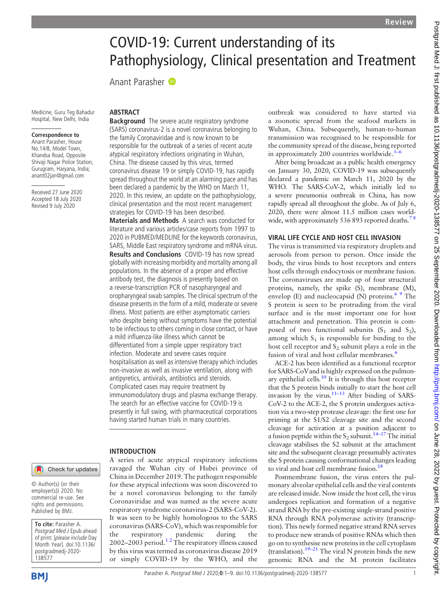# COVID-19: Current understanding of its Pathophysiology, Clinical presentation and Treatment

Anant Parasher

Medicine, Guru Teg Bahadur Hospital, New Delhi, India

#### Correspondence to

Anant Parasher, House No.14/8, Model Town, Khandsa Road, Opposite Shivaji Nagar Police Station, Gurugram, Haryana, India; [anant02jan@gmail.com](mailto:anant02jan@gmail.com)

Received 27 June 2020 Accepted 18 July 2020 Revised 9 July 2020

#### ABSTRACT

**Background** The severe acute respiratory syndrome (SARS) coronavirus-2 is a novel coronavirus belonging to the family Coronaviridae and is now known to be responsible for the outbreak of a series of recent acute atypical respiratory infections originating in Wuhan, China. The disease caused by this virus, termed coronavirus disease 19 or simply COVID-19, has rapidly spread throughout the world at an alarming pace and has been declared a pandemic by the WHO on March 11, 2020. In this review, an update on the pathophysiology, clinical presentation and the most recent management strategies for COVID-19 has been described.

Materials and Methods A search was conducted for literature and various articles/case reports from 1997 to 2020 in PUBMED/MEDLINE for the keywords coronavirus, SARS, Middle East respiratory syndrome and mRNA virus. Results and Conclusions COVID-19 has now spread globally with increasing morbidity and mortality among all populations. In the absence of a proper and effective antibody test, the diagnosis is presently based on a reverse-transcription PCR of nasopharyngeal and oropharyngeal swab samples. The clinical spectrum of the disease presents in the form of a mild, moderate or severe illness. Most patients are either asymptomatic carriers who despite being without symptoms have the potential to be infectious to others coming in close contact, or have a mild influenza-like illness which cannot be differentiated from a simple upper respiratory tract infection. Moderate and severe cases require hospitalisation as well as intensive therapy which includes non-invasive as well as invasive ventilation, along with antipyretics, antivirals, antibiotics and steroids. Complicated cases may require treatment by immunomodulatory drugs and plasma exchange therapy. The search for an effective vaccine for COVID-19 is presently in full swing, with pharmaceutical corporations having started human trials in many countries.

China in December 2019. The pathogen responsible for these atypical infections was soon discovered to be a novel coronavirus belonging to the family Coronaviridae and was named as the severe acute respiratory syndrome coronavirus-2 (SARS-CoV-2). It was seen to be highly homologous to the SARS coronavirus (SARS-CoV), which was responsible for the respiratory pandemic during the 2002–2003 period.<sup>12</sup> The respiratory illness caused by this virus was termed as coronavirus disease 2019 or simply COVID-19 by the WHO, and the

#### INTRODUCTION

A series of acute atypical respiratory infections ravaged the Wuhan city of Hubei province of Check for updates

© Author(s) (or their employer(s)) 2020. No commercial re-use. See rights and permissions. Published by BMJ.

To cite: Parasher A. Postgrad Med J Epub ahead of print: [please include Day Month Year]. doi:10.1136/ postgradmedj-2020- 138577

outbreak was considered to have started via a zoonotic spread from the seafood markets in Wuhan, China. Subsequently, human-to-human transmission was recognised to be responsible for the community spread of the disease, being reported in approximately 200 countries worldwide. $3-6$  $3-6$ 

After being broadcast as a public health emergency on January 30, 2020, COVID-19 was subsequently declared a pandemic on March 11, 2020 by the WHO. The SARS-CoV-2, which initially led to a severe pneumonia outbreak in China, has now rapidly spread all throughout the globe. As of July 6, 2020, there were almost 11.5 million cases worldwide, with approximately 536 893 reported deaths.<sup>7</sup>

#### VIRAL LIFE CYCLE AND HOST CELL INVASION

The virus is transmitted via respiratory droplets and aerosols from person to person. Once inside the body, the virus binds to host receptors and enters host cells through endocytosis or membrane fusion. The coronaviruses are made up of four structural proteins, namely, the spike (S), membrane (M), envelop (E) and nucleocapsid (N) proteins. $69$  The S protein is seen to be protruding from the viral surface and is the most important one for host attachment and penetration. This protein is composed of two functional subunits  $(S_1 \text{ and } S_2)$ , among which  $S_1$  is responsible for binding to the host cell receptor and  $S_2$  subunit plays a role in the fusion of viral and host cellular membranes.<sup>[6](#page-7-3)</sup>

ACE-2 has been identified as a functional receptor for SARS-CoVand is highly expressed on the pulmonary epithelial cells. $10$  It is through this host receptor that the S protein binds initially to start the host cell invasion by the virus. $11-13$  $11-13$  After binding of SARS-CoV-2 to the ACE-2, the S protein undergoes activation via a two-step protease cleavage: the first one for priming at the S1/S2 cleavage site and the second cleavage for activation at a position adjacent to a fusion peptide within the  $S_2$  subunit.<sup>[14](#page-7-6)–17</sup> The initial cleavage stabilises the S2 subunit at the attachment site and the subsequent cleavage presumably activates the S protein causing conformational changes leading to viral and host cell membrane fusion.<sup>18</sup>

Postmembrane fusion, the virus enters the pulmonary alveolar epithelial cells and the viral contents are released inside. Now inside the host cell, the virus undergoes replication and formation of a negative strand RNA by the pre-existing single-strand positive RNA through RNA polymerase activity (transcription). This newly formed negative strand RNA serves to produce new strands of positive RNAs which then go on to synthesise new proteins in the cell cytoplasm (translation).<sup>19–21</sup> The viral N protein binds the new genomic RNA and the M protein facilitates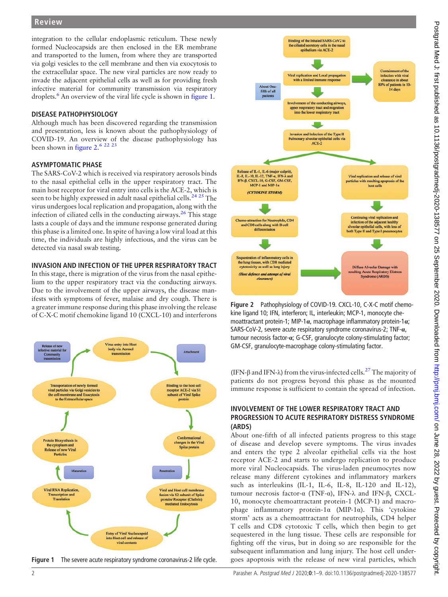integration to the cellular endoplasmic reticulum. These newly formed Nucleocapsids are then enclosed in the ER membrane and transported to the lumen, from where they are transported via golgi vesicles to the cell membrane and then via exocytosis to the extracellular space. The new viral particles are now ready to invade the adjacent epithelial cells as well as for providing fresh infective material for community transmission via respiratory droplets.<sup>6</sup> An overview of the viral life cycle is shown in [figure 1](#page-1-0).

#### DISEASE PATHOPHYSIOLOGY

Although much has been discovered regarding the transmission and presentation, less is known about the pathophysiology of COVID-19. An overview of the disease pathophysiology has been shown in [figure 2.](#page-1-1)<sup>6</sup> <sup>22</sup> <sup>23</sup>

#### ASYMPTOMATIC PHASE

The SARS-CoV-2 which is received via respiratory aerosols binds to the nasal epithelial cells in the upper respiratory tract. The main host receptor for viral entry into cells is the ACE-2, which is seen to be highly expressed in adult nasal epithelial cells.<sup>[24 25](#page-7-9)</sup> The virus undergoes local replication and propagation, along with the infection of ciliated cells in the conducting airways.<sup>[26](#page-7-10)</sup> This stage lasts a couple of days and the immune response generated during this phase is a limited one. In spite of having a low viral load at this time, the individuals are highly infectious, and the virus can be detected via nasal swab testing.

#### INVASION AND INFECTION OF THE UPPER RESPIRATORY TRACT

In this stage, there is migration of the virus from the nasal epithelium to the upper respiratory tract via the conducting airways. Due to the involvement of the upper airways, the disease manifests with symptoms of fever, malaise and dry cough. There is a greater immune response during this phase involving the release of C-X-C motif chemokine ligand 10 (CXCL-10) and interferons

<span id="page-1-0"></span>

Figure 1 The severe acute respiratory syndrome coronavirus-2 life cycle.

<span id="page-1-1"></span>

Figure 2 Pathophysiology of COVID-19. CXCL-10, C-X-C motif chemokine ligand 10; IFN, interferon; IL, interleukin; MCP-1, monocyte chemoattractant protein-1; MIP-1 $\alpha$ , macrophage inflammatory protein-1 $\alpha$ ; SARS-CoV-2, severe acute respiratory syndrome coronavirus-2; TNF-α, tumour necrosis factor-α; G-CSF, granulocyte colony-stimulating factor; GM-CSF, granulocyte-macrophage colony-stimulating factor.

(IFN- $\beta$  and IFN- $\lambda$ ) from the virus-infected cells.<sup>[27](#page-7-11)</sup> The majority of patients do not progress beyond this phase as the mounted immune response is sufficient to contain the spread of infection.

## INVOLVEMENT OF THE LOWER RESPIRATORY TRACT AND PROGRESSION TO ACUTE RESPIRATORY DISTRESS SYNDROME (ARDS)

About one-fifth of all infected patients progress to this stage of disease and develop severe symptoms. The virus invades and enters the type 2 alveolar epithelial cells via the host receptor ACE-2 and starts to undergo replication to produce more viral Nucleocapsids. The virus-laden pneumocytes now release many different cytokines and inflammatory markers such as interleukins (IL-1, IL-6, IL-8, IL-120 and IL-12), tumour necrosis factor-α (TNF-α), IFN-λ and IFN-β, CXCL-10, monocyte chemoattractant protein-1 (MCP-1) and macrophage inflammatory protein-1α (MIP-1α). This 'cytokine storm' acts as a chemoattractant for neutrophils, CD4 helper T cells and CD8 cytotoxic T cells, which then begin to get sequestered in the lung tissue. These cells are responsible for fighting off the virus, but in doing so are responsible for the subsequent inflammation and lung injury. The host cell undergoes apoptosis with the release of new viral particles, which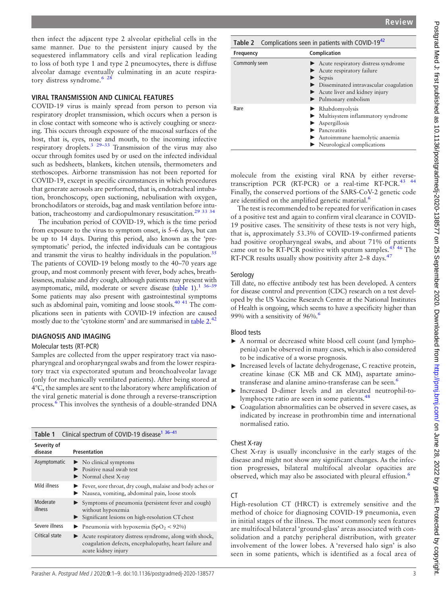then infect the adjacent type 2 alveolar epithelial cells in the same manner. Due to the persistent injury caused by the sequestered inflammatory cells and viral replication leading to loss of both type 1 and type 2 pneumocytes, there is diffuse alveolar damage eventually culminating in an acute respiratory distress syndrome.<sup>6 2</sup>

## VIRAL TRANSMISSION AND CLINICAL FEATURES

COVID-19 virus is mainly spread from person to person via respiratory droplet transmission, which occurs when a person is in close contact with someone who is actively coughing or sneezing. This occurs through exposure of the mucosal surfaces of the host, that is, eyes, nose and mouth, to the incoming infective respiratory droplets. $329-33$  Transmission of the virus may also occur through fomites used by or used on the infected individual such as bedsheets, blankets, kitchen utensils, thermometers and stethoscopes. Airborne transmission has not been reported for COVID-19, except in specific circumstances in which procedures that generate aerosols are performed, that is, endotracheal intubation, bronchoscopy, open suctioning, nebulisation with oxygen, bronchodilators or steroids, bag and mask ventilation before intubation, tracheostomy and cardiopulmonary resuscitation.<sup>29</sup><sup>33</sup><sup>34</sup>

The incubation period of COVID-19, which is the time period from exposure to the virus to symptom onset, is 5–6 days, but can be up to 14 days. During this period, also known as the 'presymptomatic' period, the infected individuals can be contagious and transmit the virus to healthy individuals in the population.<sup>35</sup> The patients of COVID-19 belong mostly to the 40–70 years age group, and most commonly present with fever, body aches, breathlessness, malaise and dry cough, although patients may present with asymptomatic, mild, moderate or severe disease [\(table 1](#page-2-0)).<sup>1 36-39</sup> Some patients may also present with gastrointestinal symptoms such as abdominal pain, vomiting and loose stools.<sup>40 41</sup> The complications seen in patients with COVID-19 infection are caused mostly due to the 'cytokine storm' and are summarised in [table 2.](#page-2-1)<sup>[42](#page-8-2)</sup>

# DIAGNOSIS AND IMAGING

## Molecular tests (RT-PCR)

Samples are collected from the upper respiratory tract via nasopharyngeal and oropharyngeal swabs and from the lower respiratory tract via expectorated sputum and bronchoalveolar lavage (only for mechanically ventilated patients). After being stored at 4°C, the samples are sent to the laboratory where amplification of the viral genetic material is done through a reverse-transcription process.[6](#page-7-3) This involves the synthesis of a double-stranded DNA

<span id="page-2-0"></span>

| Clinical spectrum of COVID-19 disease <sup>1</sup> 36-41<br>Table 1 |                                                                                                                                         |  |
|---------------------------------------------------------------------|-----------------------------------------------------------------------------------------------------------------------------------------|--|
| Severity of<br>disease                                              | <b>Presentation</b>                                                                                                                     |  |
| Asymptomatic                                                        | $\triangleright$ No clinical symptoms<br>Positive nasal swab test<br>$\triangleright$ Normal chest X-ray                                |  |
| Mild illness                                                        | Ever, sore throat, dry cough, malaise and body aches or<br>ightharpoonup Nausea, vomiting, abdominal pain, loose stools                 |  |
| Moderate<br>illness                                                 | Symptoms of pneumonia (persistent fever and cough)<br>without hypoxemia<br>Significant lesions on high-resolution CT chest              |  |
| Severe illness                                                      | $\triangleright$ Pneumonia with hypoxemia (SpO <sub>2</sub> < 92%)                                                                      |  |
| Critical state                                                      | Acute respiratory distress syndrome, along with shock,<br>coagulation defects, encephalopathy, heart failure and<br>acute kidney injury |  |

<span id="page-2-1"></span>

| Table 2 Complications seen in patients with COVID-19 <sup>42</sup> |                                                                                                                                                                                                                         |  |
|--------------------------------------------------------------------|-------------------------------------------------------------------------------------------------------------------------------------------------------------------------------------------------------------------------|--|
| <b>Frequency</b>                                                   | Complication                                                                                                                                                                                                            |  |
| Commonly seen                                                      | Acute respiratory distress syndrome<br>Acute respiratory failure<br>Sepsis<br>Disseminated intravascular coagulation<br>$\blacktriangleright$ Acute liver and kidney injury<br>$\blacktriangleright$ Pulmonary embolism |  |
| Rare                                                               | $\blacktriangleright$ Rhabdomyolysis<br>Multisystem inflammatory syndrome<br>$\blacktriangleright$ Aspergillosis<br>Pancreatitis<br>Autoimmune haemolytic anaemia<br>$\blacktriangleright$ Neurological complications   |  |

molecule from the existing viral RNA by either reversetranscription PCR (RT-PCR) or a real-time RT-PCR.<sup>43</sup> <sup>44</sup> Finally, the conserved portions of the SARS-CoV-2 genetic code are identified on the amplified genetic material.<sup>[6](#page-7-3)</sup>

The test is recommended to be repeated for verification in cases of a positive test and again to confirm viral clearance in COVID-19 positive cases. The sensitivity of these tests is not very high, that is, approximately 53.3% of COVID-19-confirmed patients had positive oropharyngeal swabs, and about 71% of patients came out to be RT-PCR positive with sputum samples.<sup>[45 46](#page-8-4)</sup> The RT-PCR results usually show positivity after 2-8 days.<sup>47</sup>

#### Serology

Till date, no effective antibody test has been developed. A centers for disease control and prevention (CDC) research on a test developed by the US Vaccine Research Centre at the National Institutes of Health is ongoing, which seems to have a specificity higher than 99% with a sensitivity of  $96\%$  $96\%$  $96\%$ .

#### Blood tests

- ► A normal or decreased white blood cell count (and lymphopenia) can be observed in many cases, which is also considered to be indicative of a worse prognosis.
- ► Increased levels of lactate dehydrogenase, C reactive protein, creatine kinase (CK MB and CK MM), aspartate amino-transferase and alanine amino-transferase can be seen.<sup>[6](#page-7-3)</sup>
- ► Increased D-dimer levels and an elevated neutrophil-to-lymphocyte ratio are seen in some patients.<sup>[48](#page-8-6)</sup>
- ► Coagulation abnormalities can be observed in severe cases, as indicated by increase in prothrombin time and international normalised ratio.

## Chest X-ray

Chest X-ray is usually inconclusive in the early stages of the disease and might not show any significant changes. As the infection progresses, bilateral multifocal alveolar opacities are observed, which may also be associated with pleural effusion.<sup>[6](#page-7-3)</sup>

## CT

High-resolution CT (HRCT) is extremely sensitive and the method of choice for diagnosing COVID-19 pneumonia, even in initial stages of the illness. The most commonly seen features are multifocal bilateral 'ground-glass' areas associated with consolidation and a patchy peripheral distribution, with greater involvement of the lower lobes. A 'reversed halo sign' is also seen in some patients, which is identified as a focal area of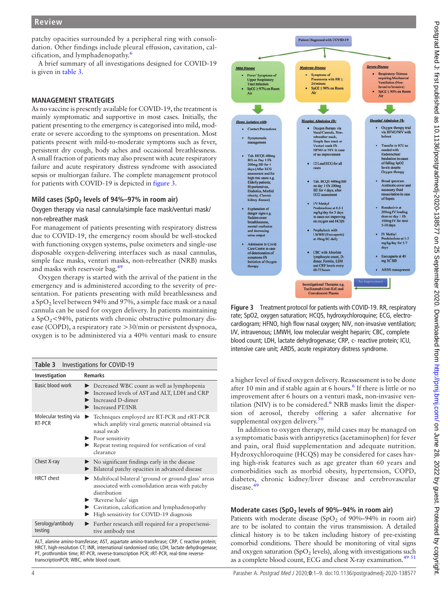patchy opacities surrounded by a peripheral ring with consolidation. Other findings include pleural effusion, cavitation, calcification, and lymphadenopathy.[6](#page-7-3)

A brief summary of all investigations designed for COVID-19 is given in [table 3.](#page-3-0)

#### MANAGEMENT STRATEGIES

As no vaccine is presently available for COVID-19, the treatment is mainly symptomatic and supportive in most cases. Initially, the patient presenting to the emergency is categorised into mild, moderate or severe according to the symptoms on presentation. Most patients present with mild-to-moderate symptoms such as fever, persistent dry cough, body aches and occasional breathlessness. A small fraction of patients may also present with acute respiratory failure and acute respiratory distress syndrome with associated sepsis or multiorgan failure. The complete management protocol for patients with COVID-19 is depicted in [figure 3.](#page-3-1)

#### Mild cases (SpO<sub>2</sub> levels of  $94\% - 97\%$  in room air)

#### Oxygen therapy via nasal cannula/simple face mask/venturi mask/ non-rebreather mask

For management of patients presenting with respiratory distress due to COVID-19, the emergency room should be well-stocked with functioning oxygen systems, pulse oximeters and single-use disposable oxygen-delivering interfaces such as nasal cannulas, simple face masks, venturi masks, non-rebreather (NRB) masks and masks with reservoir bag.<sup>[49](#page-8-7)</sup>

Oxygen therapy is started with the arrival of the patient in the emergency and is administered according to the severity of presentation. For patients presenting with mild breathlessness and a SpO<sub>2</sub> level between 94% and 97%, a simple face mask or a nasal cannula can be used for oxygen delivery. In patients maintaining a  $SpO<sub>2</sub>< 94%$ , patients with chronic obstructive pulmonary disease (COPD), a respiratory rate >30/min or persistent dyspnoea, oxygen is to be administered via a 40% venturi mask to ensure

<span id="page-3-0"></span>

| Investigations for COVID-19<br>Table 3 |                                                                                                                                                                                                                                                                 |  |  |
|----------------------------------------|-----------------------------------------------------------------------------------------------------------------------------------------------------------------------------------------------------------------------------------------------------------------|--|--|
| Investigation                          | <b>Remarks</b>                                                                                                                                                                                                                                                  |  |  |
| Basic blood work                       | Decreased WBC count as well as lymphopenia<br>Increased levels of AST and ALT, LDH and CRP<br>Increased D-dimer<br>Increased PT/INR                                                                                                                             |  |  |
| Molecular testing via<br>RT-PCR        | Techniques employed are RT-PCR and rRT-PCR<br>▶<br>which amplify viral genetic material obtained via<br>nasal swab<br>$\blacktriangleright$ Poor sensitivity<br>Repeat testing required for verification of viral<br>clearance                                  |  |  |
| Chest X-ray                            | No significant findings early in the disease<br>Bilateral patchy opacities in advanced disease                                                                                                                                                                  |  |  |
| <b>HRCT</b> chest                      | Multifocal bilateral 'ground or ground-glass' areas<br>associated with consolidation areas with patchy<br>distribution<br>$\blacktriangleright$ 'Reverse halo' sign<br>Cavitation, calcification and lymphadenopathy<br>High sensitivity for COVID-19 diagnosis |  |  |
| Serology/antibody<br>testing           | Further research still required for a proper/sensi-<br>tive antibody test                                                                                                                                                                                       |  |  |

ALT, alanine amino-transferase; AST, aspartate amino-transferase; CRP, C reactive protein; HRCT, high-resolution CT; INR, international randomised ratio; LDH, lactate dehydrogenase; PT, prothrombin time; RT-PCR, reverse-transcription PCR; rRT-PCR, real-time reversetranscriptionPCR; WBC, white blood count.

<span id="page-3-1"></span>

Figure 3 Treatment protocol for patients with COVID-19. RR, respiratory rate; SpO2, oxygen saturation; HCQS, hydroxychloroquine; ECG, electrocardiogram; HFNO, high flow nasal oxygen; NIV, non-invasive ventilation; I/V, intravenous; LMWH, low molecular weight heparin; CBC, complete blood count; LDH, lactate dehydrogenase; CRP, c- reactive protein; ICU, intensive care unit; ARDS, acute respiratory distress syndrome.

a higher level of fixed oxygen delivery. Reassessment is to be done after 10 min and if stable again at [6](#page-7-3) hours.<sup>6</sup> If there is little or no improvement after 6 hours on a venturi mask, non-invasive ventilation (NIV) is to be considered. $6$  NRB masks limit the dispersion of aerosol, thereby offering a safer alternative for supplemental oxygen delivery.<sup>[50](#page-8-8)</sup>

In addition to oxygen therapy, mild cases may be managed on a symptomatic basis with antipyretics (acetaminophen) for fever and pain, oral fluid supplementation and adequate nutrition. Hydroxychloroquine (HCQS) may be considered for cases having high-risk features such as age greater than 60 years and comorbidities such as morbid obesity, hypertension, COPD, diabetes, chronic kidney/liver disease and cerebrovascular disease.[49](#page-8-7)

#### Moderate cases (SpO<sub>2</sub> levels of 90%–94% in room air)

Patients with moderate disease (SpO<sub>2</sub> of 90%–94% in room air) are to be isolated to contain the virus transmission. A detailed clinical history is to be taken including history of pre-existing comorbid conditions. There should be monitoring of vital signs and oxygen saturation (SpO<sub>2</sub> levels), along with investigations such as a complete blood count, ECG and chest X-ray examination.<sup>[49 51](#page-8-7)</sup>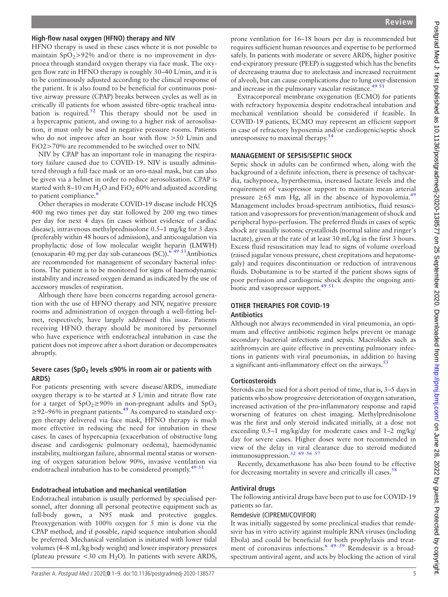## High-flow nasal oxygen (HFNO) therapy and NIV

HFNO therapy is used in these cases where it is not possible to maintain  $SpO<sub>2</sub>>92%$  and/or there is no improvement in dyspnoea through standard oxygen therapy via face mask. The oxygen flow rate in HFNO therapy is roughly 30–40 L/min, and it is to be continuously adjusted according to the clinical response of the patient. It is also found to be beneficial for continuous positive airway pressure (CPAP) breaks between cycles as well as in critically ill patients for whom assisted fibre-optic tracheal intu-bation is required.<sup>[52](#page-8-9)</sup> This therapy should not be used in a hypercapnic patient, and owing to a higher risk of aerosolisation, it must only be used in negative pressure rooms. Patients who do not improve after an hour with flow  $>50$  L/min and FiO2>70% are recommended to be switched over to NIV.

NIV by CPAP has an important role in managing the respiratory failure caused due to COVID-19. NIV is usually administered through a full face mask or an oro-nasal mask, but can also be given via a helmet in order to reduce aerosolisation. CPAP is started with 8–10 cm  $H_2O$  and FiO<sub>2</sub> 60% and adjusted according to patient compliance.<sup>[6](#page-7-3)</sup>

Other therapies in moderate COVID-19 disease include HCQS 400 mg two times per day stat followed by 200 mg two times per day for next 4 days (in cases without evidence of cardiac disease), intravenous methylprednisolone 0.5–1 mg/kg for 3 days (preferably within 48 hours of admission), and anticoagulation via prophylactic dose of low molecular weight heparin (LMWH) (enoxaparin 40 mg per day sub-cutaneous (SC)). $64953$ Antibiotics are recommended for management of secondary bacterial infections. The patient is to be monitored for signs of haemodynamic instability and increased oxygen demand as indicated by the use of accessory muscles of respiration.

Although there have been concerns regarding aerosol generation with the use of HFNO therapy and NIV, negative pressure rooms and administration of oxygen through a well-fitting helmet, respectively, have largely addressed this issue. Patients receiving HFNO therapy should be monitored by personnel who have experience with endotracheal intubation in case the patient does not improve after a short duration or decompensates abruptly.

#### Severe cases (SpO<sub>2</sub> levels  $\leq$ 90% in room air or patients with ARDS)

For patients presenting with severe disease/ARDS, immediate oxygen therapy is to be started at 5 L/min and titrate flow rate for a target of  $SpO<sub>2</sub> \ge 90\%$  in non-pregnant adults and  $SpO<sub>2</sub>$  $\geq$ 92–96% in pregnant patients.<sup>49</sup> As compared to standard oxygen therapy delivered via face mask, HFNO therapy is much more effective in reducing the need for intubation in these cases. In cases of hypercapnia (exacerbation of obstructive lung disease and cardiogenic pulmonary oedema), haemodynamic instability, multiorgan failure, abnormal mental status or worsening of oxygen saturation below 90%, invasive ventilation via endotracheal intubation has to be considered promptly.<sup>[49 51](#page-8-7)</sup>

#### Endotracheal intubation and mechanical ventilation

Endotracheal intubation is usually performed by specialised personnel, after donning all personal protective equipment such as full-body gown, a N95 mask and protective goggles. Preoxygenation with 100% oxygen for 5 min is done via the CPAP method, and if possible, rapid sequence intubation should be preferred. Mechanical ventilation is initiated with lower tidal volumes (4–8 mL/kg body weight) and lower inspiratory pressures (plateau pressure  $<30$  cm H<sub>2</sub>O). In patients with severe ARDS,

prone ventilation for 16–18 hours per day is recommended but requires sufficient human resources and expertise to be performed safely. In patients with moderate or severe ARDS, higher positive end-expiratory pressure (PEEP) is suggested which has the benefits of decreasing trauma due to atelectasis and increased recruitment of alveoli, but can cause complications due to lung over-distension and increase in the pulmonary vascular resistance.<sup>49 51</sup>

Extracorporeal membrane oxygenation (ECMO) for patients with refractory hypoxemia despite endotracheal intubation and mechanical ventilation should be considered if feasible. In COVID-19 patients, ECMO may represent an efficient support in case of refractory hypoxemia and/or cardiogenic/septic shock unresponsive to maximal therapy.<sup>[54](#page-8-10)</sup>

#### MANAGEMENT OF SEPSIS/SEPTIC SHOCK

Septic shock in adults can be confirmed when, along with the background of a definite infection, there is presence of tachycardia, tachypnoea, hyperthermia, increased lactate levels and the requirement of vasopressor support to maintain mean arterial pressure ≥65 mm Hg, all in the absence of hypovolemia.<sup>[49](#page-8-7)</sup> Management includes broad-spectrum antibiotics, fluid resuscitation and vasopressors for prevention/management of shock and peripheral hypo-perfusion. The preferred fluids in cases of septic shock are usually isotonic crystalloids (normal saline and ringer's lactate), given at the rate of at least 30 mL/kg in the first 3 hours. Excess fluid resuscitation may lead to signs of volume overload (raised jugular venous pressure, chest crepitations and hepatomegaly) and requires discontinuation or reduction of intravenous fluids. Dobutamine is to be started if the patient shows signs of poor perfusion and cardiogenic shock despite the ongoing anti-biotic and vasopressor support.<sup>[49 51](#page-8-7)</sup>

## OTHER THERAPIES FOR COVID-19

#### Antibiotics

Although not always recommended in viral pneumonia, an optimum and effective antibiotic regimen helps prevent or manage secondary bacterial infections and sepsis. Macrolides such as azithromycin are quite effective in preventing pulmonary infections in patients with viral pneumonias, in addition to having a significant anti-inflammatory effect on the airways.<sup>[55](#page-8-11)</sup>

#### **Corticosteroids**

Steroids can be used for a short period of time, that is, 3–5 days in patients who show progressive deterioration of oxygen saturation, increased activation of the pro-inflammatory response and rapid worsening of features on chest imaging. Methylprednisolone was the first and only steroid indicated initially, at a dose not exceeding 0.5–1 mg/kg/day for moderate cases and 1–2 mg/kg/ day for severe cases. Higher doses were not recommended in view of the delay in viral clearance due to steroid mediated immunosuppression.[32 49 56 57](#page-7-13)

Recently, dexamethasone has also been found to be effective for decreasing mortality in severe and critically ill cases.<sup>58</sup>

#### Antiviral drugs

The following antiviral drugs have been put to use for COVID-19 patients so far.

#### Remdesivir (CIPREMI/COVIFOR)

It was initially suggested by some preclinical studies that remdesivir has in vitro activity against multiple RNA viruses (including Ebola) and could be beneficial for both prophylaxis and treatment of coronavirus infections.<sup>6</sup> <sup>49 59</sup> Remdesivir is a broadspectrum antiviral agent, and acts by blocking the action of viral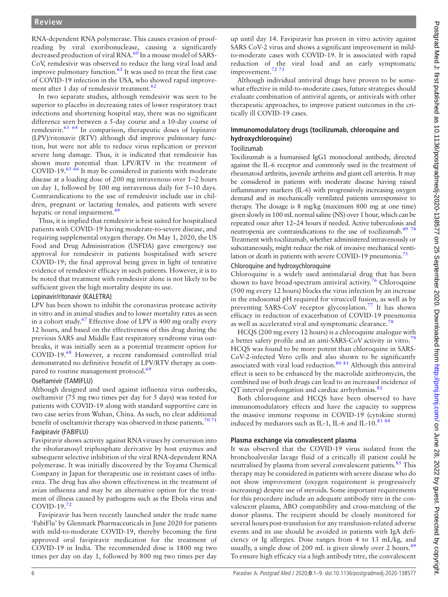RNA-dependent RNA polymerase. This causes evasion of proofreading by viral exoribonuclease, causing a significantly decreased production of viral RNA.<sup>[60](#page-8-13)</sup> In a mouse model of SARS-CoV, remdesivir was observed to reduce the lung viral load and improve pulmonary function.<sup>[61](#page-8-14)</sup> It was used to treat the first case of COVID-19 infection in the USA, who showed rapid improve-ment after 1 day of remdesivir treatment.<sup>[62](#page-8-15)</sup>

In two separate studies, although remdesivir was seen to be superior to placebo in decreasing rates of lower respiratory tract infections and shortening hospital stay, there was no significant difference seen between a 5-day course and a 10-day course of remdesivir.[63 64](#page-8-16) In comparison, therapeutic doses of lopinavir (LPV)/ritonavir (RTV) although did improve pulmonary function, but were not able to reduce virus replication or prevent severe lung damage. Thus, it is indicated that remdesivir has shown more potential than LPV/RTV in the treatment of COVID-19.<sup>65</sup> <sup>66</sup> It may be considered in patients with moderate disease at a loading dose of 200 mg intravenous over 1–2 hours on day 1, followed by 100 mg intravenous daily for 5–10 days. Contraindications to the use of remdesivir include use in children, pregnant or lactating females, and patients with severe hepatic or renal impairment.<sup>[49](#page-8-7)</sup>

Thus, it is implied that remdesivir is best suited for hospitalised patients with COVID-19 having moderate-to-severe disease, and requiring supplemental oxygen therapy. On May 1, 2020, the US Food and Drug Administration (USFDA) gave emergency use approval for remdesivir in patients hospitalised with severe COVID-19; the final approval being given in light of tentative evidence of remdesivir efficacy in such patients. However, it is to be noted that treatment with remdesivir alone is not likely to be sufficient given the high mortality despite its use.

#### Lopinavir/ritonavir (KALETRA)

LPV has been shown to inhibit the coronavirus protease activity in vitro and in animal studies and to lower mortality rates as seen in a cohort study.[67](#page-8-18) Effective dose of LPV is 400 mg orally every 12 hours, and based on the effectiveness of this drug during the previous SARS and Middle East respiratory syndrome virus outbreaks, it was initially seen as a potential treatment option for COVID-19.[68](#page-8-19) However, a recent randomised controlled trial demonstrated no definitive benefit of LPV/RTV therapy as com-pared to routine management protocol.<sup>[69](#page-8-20)</sup>

#### Oseltamivir (TAMIFLU)

Although designed and used against influenza virus outbreaks, oseltamivir (75 mg two times per day for 5 days) was tested for patients with COVID-19 along with standard supportive care in two case series from Wuhan, China. As such, no clear additional benefit of oseltamivir therapy was observed in these patients.<sup>[70 71](#page-8-21)</sup>

#### Favipiravir (FABIFLU)

Favipiravir shows activity against RNA viruses by conversion into the ribofuranosyl triphosphate derivative by host enzymes and subsequent selective inhibition of the viral RNA-dependent RNA polymerase. It was initially discovered by the Toyama Chemical Company in Japan for therapeutic use in resistant cases of influenza. The drug has also shown effectiveness in the treatment of avian influenza and may be an alternative option for the treatment of illness caused by pathogens such as the Ebola virus and COVID-19.[72](#page-8-22)

Favipiravir has been recently launched under the trade name 'FabiFlu' by Glenmark Pharmaceuticals in June 2020 for patients with mild-to-moderate COVID-19, thereby becoming the first approved oral favipiravir medication for the treatment of COVID-19 in India. The recommended dose is 1800 mg two times per day on day 1, followed by 800 mg two times per day

up until day 14. Favipiravir has proven in vitro activity against SARS CoV-2 virus and shows a significant improvement in mildto-moderate cases with COVID-19. It is associated with rapid reduction of the viral load and an early symptomatic improvement.<sup>72</sup> 73

Although individual antiviral drugs have proven to be somewhat effective in mild-to-moderate cases, future strategies should evaluate combination of antiviral agents, or antivirals with other therapeutic approaches, to improve patient outcomes in the critically ill COVID-19 cases.

## Immunomodulatory drugs (tocilizumab, chloroquine and hydroxychloroquine)

#### Tocilizumab

Tocilizumab is a humanised IgG1 monoclonal antibody, directed against the IL-6 receptor and commonly used in the treatment of rheumatoid arthritis, juvenile arthritis and giant cell arteritis. It may be considered in patients with moderate disease having raised inflammatory markers (IL-6) with progressively increasing oxygen demand and in mechanically ventilated patients unresponsive to therapy. The dosage is 8 mg/kg (maximum 800 mg at one time) given slowly in 100 mL normal saline (NS) over 1 hour, which can be repeated once after 12–24 hours if needed. Active tuberculosis and neutropenia are contraindications to the use of tocilizumab[.49 74](#page-8-7) Treatment with tocilizumab, whether administered intravenously or subcutaneously, might reduce the risk of invasive mechanical ventilation or death in patients with severe COVID-19 pneumonia.<sup>75</sup>

#### Chloroquine and hydroxychloroquine

Chloroquine is a widely used antimalarial drug that has been shown to have broad-spectrum antiviral activity.<sup>[76](#page-8-24)</sup> Chloroquine (500 mg every 12 hours) blocks the virus infection by an increase in the endosomal pH required for virus/cell fusion, as well as by preventing SARS-CoV receptor glycosylation.<sup>[77](#page-8-25)</sup> It has shown efficacy in reduction of exacerbation of COVID-19 pneumonia as well as accelerated viral and symptomatic clearance.<sup>[78](#page-8-26)</sup>

HCQS (200 mg every 12 hours) is a chloroquine analogue with a better safety profile and an anti-SARS-CoV activity in vitro.[79](#page-8-27) HCQS was found to be more potent than chloroquine in SARS-CoV-2-infected Vero cells and also shown to be significantly associated with viral load reduction.[80 81](#page-8-28) Although this antiviral effect is seen to be enhanced by the macrolide azithromycin, the combined use of both drugs can lead to an increased incidence of QT interval prolongation and cardiac arrhythmias.<sup>[82](#page-8-29)</sup>

Both chloroquine and HCQS have been observed to have immunomodulatory effects and have the capacity to suppress the massive immune response in COVID-19 (cytokine storm) induced by mediators such as IL-1, IL-6 and IL-10.83 8

## Plasma exchange via convalescent plasma

It was observed that the COVID-19 virus isolated from the bronchoalveolar lavage fluid of a critically ill patient could be neutralised by plasma from several convalescent patients.<sup>85</sup> This therapy may be considered in patients with severe disease who do not show improvement (oxygen requirement is progressively increasing) despite use of steroids. Some important requirements for this procedure include an adequate antibody titre in the convalescent plasma, ABO compatibility and cross-matching of the donor plasma. The recipient should be closely monitored for several hours post-transfusion for any transfusion-related adverse events and its use should be avoided in patients with IgA deficiency or Ig allergies. Dose ranges from 4 to 13 mL/kg, and usually, a single dose of 200 mL is given slowly over 2 hours.<sup>[49](#page-8-7)</sup> To ensure high efficacy via a high antibody titre, the convalescent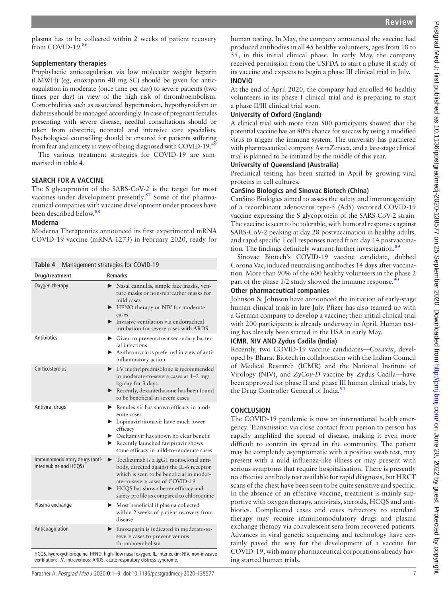plasma has to be collected within 2 weeks of patient recovery from COVID-19[.86](#page-8-32)

#### Supplementary therapies

Prophylactic anticoagulation via low molecular weight heparin (LMWH) (eg, enoxaparin 40 mg SC) should be given for anticoagulation in moderate (once time per day) to severe patients (two times per day) in view of the high risk of thromboembolism. Comorbidities such as associated hypertension, hypothyroidism or diabetes should be managed accordingly. In case of pregnant females presenting with severe disease, needful consultations should be taken from obstetric, neonatal and intensive care specialists. Psychological counselling should be ensured for patients suffering from fear and anxiety in view of being diagnosed with COVID-19.<sup>4</sup>

The various treatment strategies for COVID-19 are summarised in [table 4](#page-6-0).

#### SEARCH FOR A VACCINE

The S glycoprotein of the SARS-CoV-2 is the target for most vaccines under development presently.[87](#page-8-33) Some of the pharmaceutical companies with vaccine development under process have been described below.[88](#page-8-34)

#### Moderna

Moderna Therapeutics announced its first experimental mRNA COVID-19 vaccine (mRNA-1273) in February 2020, ready for

<span id="page-6-0"></span>

| Table 4<br>Management strategies for COVID-19                   |                                                                                                                                                                                                                                                                                                                                                                                                                               |  |
|-----------------------------------------------------------------|-------------------------------------------------------------------------------------------------------------------------------------------------------------------------------------------------------------------------------------------------------------------------------------------------------------------------------------------------------------------------------------------------------------------------------|--|
| Drug/treatment                                                  | <b>Remarks</b>                                                                                                                                                                                                                                                                                                                                                                                                                |  |
| Oxygen therapy                                                  | Nasal cannulas, simple face masks, ven-<br>ture masks or non-rebreather masks for<br>mild cases<br>HFNO therapy or NIV for moderate<br>▶<br>cases<br>Invasive ventilation via endotracheal<br>intubation for severe cases with ARDS                                                                                                                                                                                           |  |
| <b>Antibiotics</b>                                              | • Given to prevent/treat secondary bacter-<br>ial infections<br>Azithromycin is preferred in view of anti-<br>inflammatory action                                                                                                                                                                                                                                                                                             |  |
| Corticosteroids                                                 | > I.V methylprednisolone is recommended<br>in moderate-to-severe cases at 1-2 mg/<br>kg/day for 3 days<br>Recently, dexamethasone has been found<br>to be beneficial in severe cases                                                                                                                                                                                                                                          |  |
| Antiviral drugs                                                 | Remdesivir has shown efficacy in mod-<br>erate cases<br>> Lopinavir/ritonavir have much lower<br>efficacy<br>Subsetant Discrimination School and School and School and School and School and Discrimination Oscillation School and Discrimination Oscillation School and Discrimination Oscillation School and Oscillation School and Oscil<br>Recently launched favipiravir shows<br>some efficacy in mild-to-moderate cases |  |
| Immunomodulatory drugs (anti-<br>interleukins and HCQS)         | Tocilizumab is a IgG1 monoclonal anti-<br>▶<br>body, directed against the IL-6 receptor<br>which is seen to be beneficial in moder-<br>ate-to-severe cases of COVID-19<br>HCQS has shown better efficacy and<br>safety profile as compared to chloroquine                                                                                                                                                                     |  |
| Plasma exchange                                                 | Most beneficial if plasma collected<br>▶<br>within 2 weeks of patient recovery from<br>disease                                                                                                                                                                                                                                                                                                                                |  |
| Anticoagulation<br>$\overline{C}$ of the decoded of<br>$-11510$ | Enoxaparin is indicated in moderate-to-<br>▶<br>severe cases to prevent venous<br>thromboembolism<br>and component to the colorador (ATIV) when there are<br>Little floor                                                                                                                                                                                                                                                     |  |

HCQS, hydroxychloroquine; HFNO, high-flow nasal oxygen; IL, interleukin; NIV, non-invasive ventilation; I.V, intravenous; ARDS, acute respiratory distress syndrome.

human testing. In May, the company announced the vaccine had produced antibodies in all 45 healthy volunteers, ages from 18 to 55, in this initial clinical phase. In early May, the company received permission from the USFDA to start a phase II study of its vaccine and expects to begin a phase III clinical trial in July. INOVIO

#### At the end of April 2020, the company had enrolled 40 healthy volunteers in its phase I clinical trial and is preparing to start a phase II/III clinical trial soon.

## University of Oxford (England)

A clinical trial with more than 500 participants showed that the potential vaccine has an 80% chance for success by using a modified virus to trigger the immune system. The university has partnered with pharmaceutical company AstraZeneca, and a late-stage clinical trial is planned to be initiated by the middle of this year.

#### University of Queensland (Australia)

Preclinical testing has been started in April by growing viral proteins in cell cultures.

## CanSino Biologics and Sinovac Biotech (China)

CanSino Biologics aimed to assess the safety and immunogenicity of a recombinant adenovirus type-5 (Ad5) vectored COVID-19 vaccine expressing the S glycoprotein of the SARS-CoV-2 strain. The vaccine is seen to be tolerable, with humoral responses against SARS-CoV-2 peaking at day 28 postvaccination in healthy adults, and rapid specific Tcell responses noted from day 14 postvaccination. The findings definitely warrant further investigation.<sup>89</sup>

Sinovac Biotech's COVID-19 vaccine candidate, dubbed Corona Vac, induced neutralising antibodies 14 days after vaccination. More than 90% of the 600 healthy volunteers in the phase 2 part of the phase  $1/2$  study showed the immune response.<sup>90</sup>

#### Other pharmaceutical companies

Johnson & Johnson have announced the initiation of early-stage human clinical trials in late July. Pfizer has also teamed up with a German company to develop a vaccine; their initial clinical trial with 200 participants is already underway in April. Human testing has already been started in the USA in early May.

#### ICMR, NIV AND Zydus Cadila (India)

Recently, two COVID-19 vaccine candidates—Covaxin, developed by Bharat Biotech in collaboration with the Indian Council of Medical Research (ICMR) and the National Institute of Virology (NIV), and  $ZyCov-D$  vaccine by Zydus Cadila—have been approved for phase II and phase III human clinical trials, by the Drug Controller General of India.<sup>[91](#page-8-37)</sup>

## **CONCLUSION**

The COVID-19 pandemic is now an international health emergency. Transmission via close contact from person to person has rapidly amplified the spread of disease, making it even more difficult to contain its spread in the community. The patient may be completely asymptomatic with a positive swab test, may present with a mild influenza-like illness or may present with serious symptoms that require hospitalisation. There is presently no effective antibody test available for rapid diagnosis, but HRCT scans of the chest have been seen to be quite sensitive and specific. In the absence of an effective vaccine, treatment is mainly supportive with oxygen therapy, antivirals, steroids, HCQS and antibiotics. Complicated cases and cases refractory to standard therapy may require immunomodulatory drugs and plasma exchange therapy via convalescent sera from recovered patients. Advances in viral genetic sequencing and technology have certainly paved the way for the development of a vaccine for COVID-19, with many pharmaceutical corporations already having started human trials.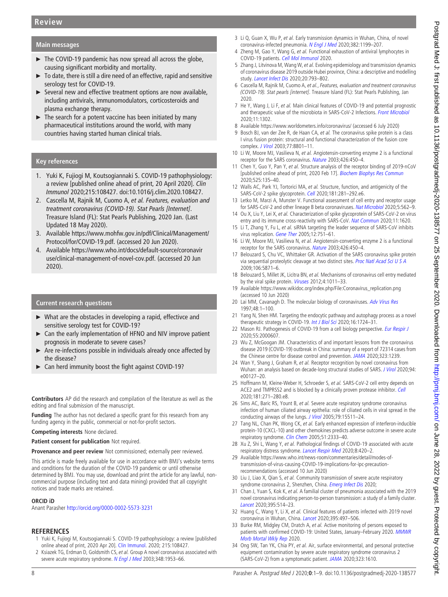## Main messages

- ► The COVID-19 pandemic has now spread all across the globe, causing significant morbidity and mortality.
- ► To date, there is still a dire need of an effective, rapid and sensitive serology test for COVID-19.
- ► Several new and effective treatment options are now available, including antivirals, immunomodulators, corticosteroids and plasma exchange therapy.
- $\blacktriangleright$  The search for a potent vaccine has been initiated by many pharmaceutical institutions around the world, with many countries having started human clinical trials.

## Key references

- 1. Yuki K, Fujiogi M, Koutsogiannaki S. COVID-19 pathophysiology: a review [published online ahead of print, 20 April 2020]. Clin Immunol 2020;215:108427. doi:10.1016/j.clim.2020.108427.
- 2. Cascella M, Rajnik M, Cuomo A, et al. Features, evaluation and treatment coronavirus (COVID-19). Stat Pearls [Internet]. Treasure Island (FL): Stat Pearls Publishing, 2020 Jan. (Last Updated 18 May 2020).
- 3. Available [https://www.mohfw.gov.in/pdf/Clinical/Management/](https://www.mohfw.gov.in/pdf/Clinical/Management/Protocol/for/COVID-19.pdf) [Protocol/for/COVID-19.pdf.](https://www.mohfw.gov.in/pdf/Clinical/Management/Protocol/for/COVID-19.pdf) (accessed 20 Jun 2020).
- 4. Available [https://www.who.int/docs/default-source/coronavir](https://www.who.int/docs/default-source/coronaviruse/clinical-management-of-novel-cov.pdf) [use/clinical-management-of-novel-cov.pdf.](https://www.who.int/docs/default-source/coronaviruse/clinical-management-of-novel-cov.pdf) (accessed 20 Jun 2020).

#### Current research questions

- ► What are the obstacles in developing a rapid, effectivce and sensitive serology test for COVID-19?
- ► Can the early implementation of HFNO and NIV improve patient prognosis in moderate to severe cases?
- Are re-infections possible in individuals already once affected by the disease?
- Can herd immunity boost the fight against COVID-19?

Contributors AP did the research and compilation of the literature as well as the editing and final submission of the manuscript.

Funding The author has not declared a specific grant for this research from any funding agency in the public, commercial or not-for-profit sectors.

#### Competing interests None declared.

Patient consent for publication Not required.

Provenance and peer review Not commissioned; externally peer reviewed.

This article is made freely available for use in accordance with BMJ's website terms and conditions for the duration of the COVID-19 pandemic or until otherwise determined by BMJ. You may use, download and print the article for any lawful, noncommercial purpose (including text and data mining) provided that all copyright notices and trade marks are retained.

#### ORCID iD

Anant Parasher <http://orcid.org/0000-0002-5573-3231>

#### **REFERENCES**

- <span id="page-7-0"></span>Yuki K, Fujiogi M, Koutsogiannaki S. COVID-19 pathophysiology: a review [published online ahead of print, 2020 Apr 20]. [Clin Immunol.](https://dx.doi.org/10.1016/j.clim.2020.108427) 2020; 215:108427.
- 2 Ksiazek TG, Erdman D, Goldsmith CS, et al. Group A novel coronavirus associated with severe acute respiratory syndrome. [N Engl J Med](https://dx.doi.org/10.1056/NEJMoa030781) 2003;348:1953-66.
- <span id="page-7-1"></span>3 Li Q, Guan X, Wu P, et al. Early transmission dynamics in Wuhan, China, of novel coronavirus-infected pneumonia. [N Engl J Med](https://dx.doi.org/10.1056/NEJMoa2001316) 2020;382:1199-207.
- Zheng M, Gao Y, Wang G, et al. Functional exhaustion of antiviral lymphocytes in COVID-19 patients. [Cell Mol Immunol](https://dx.doi.org/10.1038/s41423-020-0402-2) 2020.
- 5 Zhang J, Litvinova M, Wang W, et al. Evolving epidemiology and transmission dynamics of coronavirus disease 2019 outside Hubei province, China: a descriptive and modelling study. [Lancet Infect Dis](https://dx.doi.org/10.1016/S1473-3099(20)30230-9) 2020;20:793–802.
- <span id="page-7-3"></span>6 Cascella M, Rajnik M, Cuomo A, et al., Features, evaluation and treatment coronavirus (COVID-19). Stat pearls [internet]. Treasure Island (FL): Stat Pearls Publishing, Jan 2020.
- <span id="page-7-2"></span>7 He Y, Wang J, Li F, et al. Main clinical features of COVID-19 and potential prognostic and therapeutic value of the microbiota in SARS-CoV-2 Infections. [Front Microbiol](https://dx.doi.org/10.3389/fmicb.2020.01302) 2020;11:1302.
- 8 Available<https://www.worldometers.info/coronavirus/> (accessed 6 July 2020)
- 9 Bosch BJ, van der Zee R, de Haan CA, et al. The coronavirus spike protein is a class I virus fusion protein: structural and functional characterization of the fusion core complex. [J Virol](https://dx.doi.org/10.1128/jvi.77.16.8801-8811.2003) 2003;77:8801–11.
- <span id="page-7-4"></span>10 Li W, Moore MJ, Vasilieva N, et al. Angiotensin-converting enzyme 2 is a functional receptor for the SARS coronavirus. [Nature](https://dx.doi.org/10.1038/nature02145) 2003;426:450–4.
- <span id="page-7-5"></span>11 Chen Y, Guo Y, Pan Y, et al. Structure analysis of the receptor binding of 2019-nCoV [published online ahead of print, 2020 Feb 17]. [Biochem Biophys Res Commun](https://dx.doi.org/10.1016/j.bbrc.2020.02.071) 2020;525:135–40.
- 12 Walls AC, Park YJ, Tortorici MA, et al. Structure, function, and antigenicity of the SARS-CoV-2 spike glycoprotein. [Cell](https://dx.doi.org/10.1016/j.cell.2020.02.058) 2020;181:281-292.e6.
- 13 Letko M, Marzi A, Munster V. Functional assessment of cell entry and receptor usage for SARS-CoV-2 and other lineage B beta coronaviruses. [Nat Microbiol](https://dx.doi.org/10.1038/s41564-020-0688-y) 2020;5:562–9.
- <span id="page-7-6"></span>14 Ou X, Liu Y, Lei X, et al. Characterization of spike glycoprotein of SARS-CoV-2 on virus entry and its immune cross-reactivity with SARS-CoV. [Nat Commun](https://dx.doi.org/10.1038/s41467-020-15562-9) 2020;11:1620.
- 15 Li T, Zhang Y, Fu L, et al. siRNA targeting the leader sequence of SARS-CoV inhibits virus replication. [Gene Ther](https://dx.doi.org/10.1038/sj.gt.3302479) 2005;12:751-61.
- 16 Li W, Moore MJ, Vasilieva N, et al. Angiotensin-converting enzyme 2 is a functional receptor for the SARS coronavirus. [Nature](https://dx.doi.org/10.1038/nature02145) 2003;426:450–4.
- 17 Belouzard S, Chu VC, Whittaker GR. Activation of the SARS coronavirus spike protein via sequential proteolytic cleavage at two distinct sites. [Proc Natl Acad Sci U S A](https://dx.doi.org/10.1073/pnas.0809524106) 2009;106:5871–6.
- <span id="page-7-7"></span>18 Belouzard S, Millet JK, Licitra BN, et al. Mechanisms of coronavirus cell entry mediated by the viral spike protein. [Viruses](https://dx.doi.org/10.3390/v4061011) 2012;4:1011-33.
- <span id="page-7-8"></span>19 Available [https://www.wikidoc.org/index.php/File:Coronavirus\\_replication.png](https://www.wikidoc.org/index.php/File:Coronavirus_replication.png (accessed 10 Jun 2020)) [\(accessed 10 Jun 2020\)](https://www.wikidoc.org/index.php/File:Coronavirus_replication.png (accessed 10 Jun 2020))
- 20 Lai MM, Cavanagh D. The molecular biology of coronaviruses. [Adv Virus Res](https://dx.doi.org/10.1016/S0065-3527(08)60286-9) 1997;48:1–100.
- 21 Yang N, Shen HM. Targeting the endocytic pathway and autophagy process as a novel therapeutic strategy in COVID-19. [Int J Biol Sci](https://dx.doi.org/10.7150/ijbs.45498) 2020;16:1724-31.
- 22 Mason RJ. Pathogenesis of COVID-19 from a cell biology perspective. [Eur Respir J](https://dx.doi.org/10.1183/13993003.00607-2020) 2020;55:2000607.
- 23 Wu Z, McGoogan JM. Characteristics of and important lessons from the coronavirus disease 2019 (COVID-19) outbreak in China: summary of a report of 72314 cases from the Chinese centre for disease control and prevention. [JAMA](https://dx.doi.org/10.1001/jama.2020.2648) 2020;323:1239.
- <span id="page-7-9"></span>24 Wan Y, Shang J, Graham R, et al. Receptor recognition by novel coronavirus from Wuhan: an analysis based on decade-long structural studies of SARS. [J Virol](https://dx.doi.org/10.1128/JVI.00127-20) 2020;94: e00127–20.
- 25 Hoffmann M, Kleine-Weber H, Schroeder S, et al. SARS-CoV-2 cell entry depends on ACE2 and TMPRSS2 and is blocked by a clinically proven protease inhibitor. [Cell](https://dx.doi.org/10.1016/j.cell.2020.02.052) 2020;181:271–280.e8.
- <span id="page-7-10"></span>26 Sims AC, Baric RS, Yount B, et al. Severe acute respiratory syndrome coronavirus infection of human ciliated airway epithelia: role of ciliated cells in viral spread in the conducting airways of the lungs. [J Virol](https://dx.doi.org/10.1128/JVI.79.24.15511-15524.2005) 2005;79:15511-24.
- <span id="page-7-11"></span>27 Tang NL, Chan PK, Wong CK, et al. Early enhanced expression of interferon-inducible protein-10 (CXCL-10) and other chemokines predicts adverse outcome in severe acute respiratory syndrome. [Clin Chem](https://dx.doi.org/10.1373/clinchem.2005.054460) 2005;51:2333-40.
- 28 Xu Z, Shi L, Wang Y, et al. Pathological findings of COVID-19 associated with acute respiratory distress syndrome. [Lancet Respir Med](https://dx.doi.org/10.1016/S2213-2600(20)30076-X) 2020;8:420-2.
- <span id="page-7-12"></span>29 Available [https://www.who.int/news-room/commentaries/detail/modes-of](https://www.who.int/news-room/commentaries/detail/modes-of-transmission-of-virus-causing-COVID-19-implications-for-ipc-precaution-recommendations (accessed 10 Jun 2020))[transmission-of-virus-causing-COVID-19-implications-for-ipc-precaution](https://www.who.int/news-room/commentaries/detail/modes-of-transmission-of-virus-causing-COVID-19-implications-for-ipc-precaution-recommendations (accessed 10 Jun 2020))[recommendations \(accessed 10 Jun 2020\)](https://www.who.int/news-room/commentaries/detail/modes-of-transmission-of-virus-causing-COVID-19-implications-for-ipc-precaution-recommendations (accessed 10 Jun 2020))
- 30 Liu J, Liao X, Qian S, et al. Community transmission of severe acute respiratory syndrome coronavirus 2, Shenzhen, China. [Emerg Infect Dis](https://dx.doi.org/10.3201/eid2606.200239) 2020;
- 31 Chan J, Yuan S, Kok K, et al. A familial cluster of pneumonia associated with the 2019 novel coronavirus indicating person-to-person transmission: a study of a family cluster. [Lancet](https://dx.doi.org/10.1016/S0140-6736(20)30154-9) 2020;395:514-23.
- <span id="page-7-13"></span>32 Huang C, Wang Y, Li X, et al. Clinical features of patients infected with 2019 novel coronavirus in Wuhan, China. [Lancet](https://dx.doi.org/10.1016/S0140-6736(20)30183-5) 2020;395:497-506.
- 33 Burke RM, Midgley CM, Dratch A, et al. Active monitoring of persons exposed to patients with confirmed COVID-19: United States, January–February 2020. [MMWR](https://dx.doi.org/10.15585/mmwr.mm6909e1external) [Morb Mortal Wkly Rep](https://dx.doi.org/10.15585/mmwr.mm6909e1external) 2020.
- 34 Ong SW, Tan YK, Chia PY, et al. Air, surface environmental, and personal protective equipment contamination by severe acute respiratory syndrome coronavirus 2 (SARS-CoV-2) from a symptomatic patient. [JAMA](https://dx.doi.org/10.1001/jama.2020.3227) 2020;323:1610.